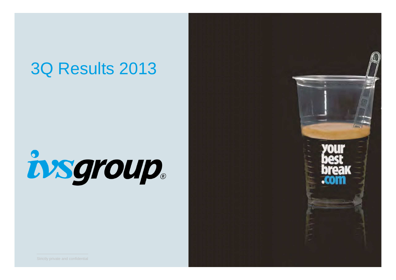### 3Q Results 2013

# insgroup.

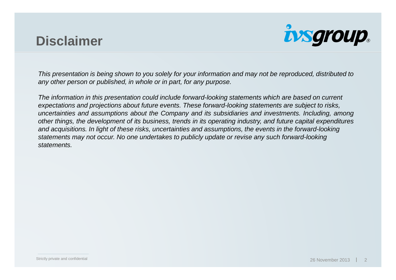#### **Disclaimer**



This presentation is being shown to you solely for your information and may not be reproduced, distributed toany other person or published, in whole or in part, for any purpose.

The information in this presentation could include forward-looking statements which are based on current expectations and projections about future events. These forward-looking statements are subject to risks, uncertainties and assumptions about the Company and its subsidiaries and investments. Including, among other things, the development of its business, trends in its operating industry, and future capital expenditures and acquisitions. In light of these risks, uncertainties and assumptions, the events in the forward-lookingstatements may not occur. No one undertakes to publicly update or revise any such forward-lookingstatements.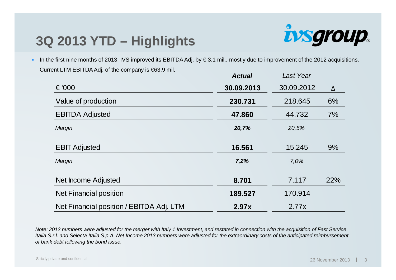#### **3Q 2013 YTD – Highlights**



 In the first nine months of 2013, IVS improved its EBITDA Adj. by € 3.1 mil., mostly due to improvement of the 2012 acquisitions. Current LTM EBITDA Adj. of the company is €63.9 mil.**Actual**Last Year

|                                          | Actual     | Last rear  |     |
|------------------------------------------|------------|------------|-----|
| € '000                                   | 30.09.2013 | 30.09.2012 | Δ   |
| Value of production                      | 230.731    | 218.645    | 6%  |
| <b>EBITDA Adjusted</b>                   | 47.860     | 44.732     | 7%  |
| Margin                                   | 20,7%      | 20,5%      |     |
| <b>EBIT Adjusted</b>                     | 16.561     | 15.245     | 9%  |
| Margin                                   | 7,2%       | 7,0%       |     |
| Net Income Adjusted                      | 8.701      | 7.117      | 22% |
| Net Financial position                   | 189.527    | 170.914    |     |
| Net Financial position / EBITDA Adj. LTM | 2.97x      | 2.77x      |     |
|                                          |            |            |     |

Note: 2012 numbers were adjusted for the merger with Italy 1 Investment, and restated in connection with the acquisition of Fast Service Italia S.r.l. and Selecta Italia S.p.A. Net Income 2013 numbers were adjusted for the extraordinary costs of the anticipated reimbursement of bank debt following the bond issue.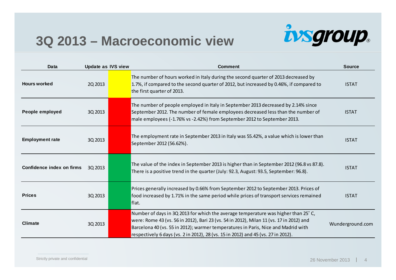#### **3Q 2013 – Macroeconomic view**



| <b>Data</b>               | <b>Update as IVS view</b> | <b>Comment</b>                                                                                                                                                                                                                                                                                                                                         | <b>Source</b>    |
|---------------------------|---------------------------|--------------------------------------------------------------------------------------------------------------------------------------------------------------------------------------------------------------------------------------------------------------------------------------------------------------------------------------------------------|------------------|
| <b>Hours worked</b>       | 2Q 2013                   | The number of hours worked in Italy during the second quarter of 2013 decreased by<br>1.7%, if compared to the second quarter of 2012, but increased by 0.46%, if compared to<br>the first quarter of 2013.                                                                                                                                            | <b>ISTAT</b>     |
| People employed           | 3Q 2013                   | The number of people employed in Italy in September 2013 decreased by 2.14% since<br>September 2012. The number of female employees decreased less than the number of<br>male employees (-1.76% vs -2.42%) from September 2012 to September 2013.                                                                                                      | <b>ISTAT</b>     |
| <b>Employment rate</b>    | 3Q 2013                   | The employment rate in September 2013 in Italy was 55.42%, a value which is lower than<br>September 2012 (56.62%).                                                                                                                                                                                                                                     | <b>ISTAT</b>     |
| Confidence index on firms | 3Q 2013                   | The value of the index in September 2013 is higher than in September 2012 (96.8 vs 87.8).<br>There is a positive trend in the quarter (July: 92.3, August: 93.5, September: 96.8).                                                                                                                                                                     | <b>ISTAT</b>     |
| <b>Prices</b>             | 3Q 2013                   | Prices generally increased by 0.66% from September 2012 to September 2013. Prices of<br>food increased by 1.71% in the same period while prices of transport services remained<br>flat.                                                                                                                                                                | <b>ISTAT</b>     |
| <b>Climate</b>            | 3Q 2013                   | Number of days in 3Q 2013 for which the average temperature was higher than 25°C,<br>were: Rome 43 (vs. 56 in 2012), Bari 23 (vs. 54 in 2012), Milan 11 (vs. 17 in 2012) and<br>Barcelona 40 (vs. 55 in 2012); warmer temperatures in Paris, Nice and Madrid with<br>respectively 6 days (vs. 2 in 2012), 28 (vs. 15 in 2012) and 45 (vs. 27 in 2012). | Wunderground.com |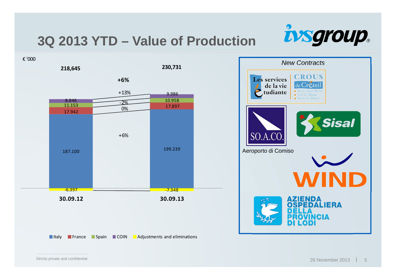#### **3Q 2013 YTD – Value of Production**

**230,731**



€ '000

**218,645**



Italy **France Spain COIN Adjustments and eliminations** 

New Contracts**CROUS** Les services de la vie le Cretei tudiante · Val-de-Marne · Seine-et-Marne Sisal SO.A.CO. Aeroporto di ComisoIENDA<br>PEDALIERA ICIA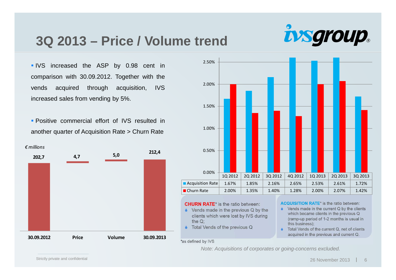#### **3Q 2013 – Price / Volume trend**

IVS increased the ASP by 0.98 cent in comparison with 30.09.2012. Together with thevends acquired through acquisition, IVSincreased sales from vending by 5%.

 Positive commercial effort of IVS resulted inanother quarter of Acquisition Rate <sup>&</sup>gt; Churn Rate





- $\bullet$  Total Vends of the previous Q
- (ramp-up period of 1-2 months is usual in this business);

*ivsgroup.* 

♦ Total Vends of the current Q, net of clients acquired in the previous and current Q.

\*as defined by IVS

Note: Acquisitions of corporates or going-concerns excluded.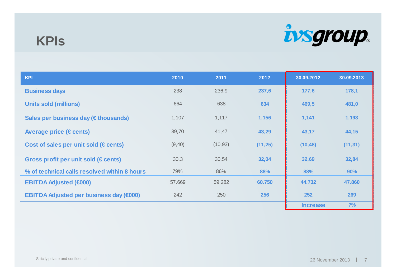#### **KPIs**



| <b>KPI</b>                                     | 2010    | 2011     | 2012     | 30.09.2012      | 30.09.2013 |
|------------------------------------------------|---------|----------|----------|-----------------|------------|
| <b>Business days</b>                           | 238     | 236,9    | 237,6    | 177,6           | 178,1      |
| <b>Units sold (millions)</b>                   | 664     | 638      | 634      | 469,5           | 481,0      |
| Sales per business day (€ thousands)           | 1,107   | 1,117    | 1,156    | 1,141           | 1,193      |
| Average price ( $\in$ cents)                   | 39,70   | 41,47    | 43,29    | 43,17           | 44,15      |
| Cost of sales per unit sold ( $\in$ cents)     | (9, 40) | (10, 93) | (11, 25) | (10, 48)        | (11, 31)   |
| Gross profit per unit sold ( $\in$ cents)      | 30,3    | 30,54    | 32,04    | 32,69           | 32,84      |
| % of technical calls resolved within 8 hours   | 79%     | 86%      | 88%      | 88%             | 90%        |
| <b>EBITDA Adjusted (€000)</b>                  | 57.669  | 59.282   | 60.750   | 44.732          | 47.860     |
| <b>EBITDA Adjusted per business day (€000)</b> | 242     | 250      | 256      | 252             | 269        |
|                                                |         |          |          | <b>Increase</b> | 7%         |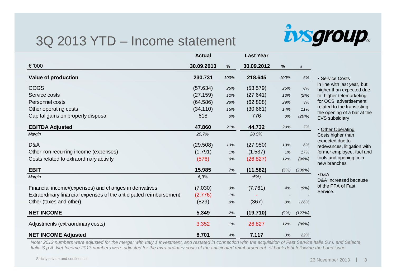#### 3Q 2013 YTD – Income statement



|                                                                   | <b>Actual</b> |      | <b>Last Year</b> |      |        |                                                         |
|-------------------------------------------------------------------|---------------|------|------------------|------|--------|---------------------------------------------------------|
| € '000                                                            | 30.09.2013    | $\%$ | 30.09.2012       | %    | Δ      |                                                         |
| <b>Value of production</b>                                        | 230.731       | 100% | 218.645          | 100% | 6%     | • Service Costs                                         |
| <b>COGS</b>                                                       | (57.634)      | 25%  | (53.579)         | 25%  | 8%     | in line with last year, but<br>higher than expected due |
| Service costs                                                     | (27.159)      | 12%  | (27.641)         | 13%  | (2%)   | to: higher telemarketing                                |
| Personnel costs                                                   | (64.586)      | 28%  | (62.808)         | 29%  | 3%     | for OCS, advertisement                                  |
| Other operating costs                                             | (34.110)      | 15%  | (30.661)         | 14%  | 11%    | related to the translisting,                            |
| Capital gains on property disposal                                | 618           | 0%   | 776              | 0%   | (20%)  | the opening of a bar at the<br>EVS subsidiary           |
| <b>EBITDA Adjusted</b>                                            | 47.860        | 21%  | 44.732           | 20%  | 7%     | • Other Operating                                       |
| Margin                                                            | 20,7%         |      | 20,5%            |      |        | Costs higher than                                       |
| D&A                                                               | (29.508)      | 13%  | (27.950)         | 13%  | 6%     | expected due to<br>redevances, litigation with          |
| Other non-recurring income (expenses)                             | (1.791)       | 1%   | (1.537)          | 1%   | 17%    | former employee, fuel and                               |
| Costs related to extraordinary activity                           | (576)         | 0%   | (26.827)         | 12%  | (98%)  | tools and opening coin<br>new branches                  |
| <b>EBIT</b>                                                       | 15.985        | 7%   | (11.582)         | (5%) | (238%) |                                                         |
| Margin                                                            | 6,9%          |      | (5%)             |      |        | $-D&A$<br>D&A Increased because                         |
| Financial income/(expenses) and changes in derivatives            | (7.030)       | 3%   | (7.761)          | 4%   | (9%)   | of the PPA of Fast<br>Service.                          |
| Extraordinary financial expenses of the anticipated reimbursement | (2.776)       | 1%   |                  |      |        |                                                         |
| Other (taxes and other)                                           | (829)         | 0%   | (367)            | 0%   | 126%   |                                                         |
| <b>NET INCOME</b>                                                 | 5.349         | 2%   | (19.710)         | (9%) | (127%) |                                                         |
| Adjustments (extraordinary costs)                                 | 3.352         | 1%   | 26.827           | 12%  | (88%)  |                                                         |
| <b>NET INCOME Adjusted</b>                                        | 8.701         | 4%   | 7.117            | 3%   | 22%    |                                                         |

Note: 2012 numbers were adjusted for the merger with Italy 1 Investment, and restated in connection with the acquisition of Fast Service Italia S.r.l. and Selecta Italia S.p.A. Net Income 2013 numbers were adjusted for the extraordinary costs of the anticipated reimbursement of bank debt following the bond issue.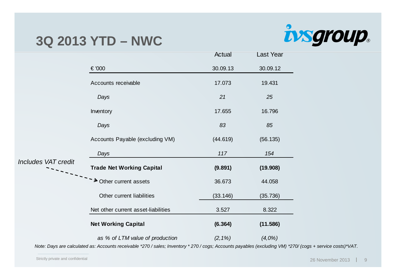#### **3Q 2013 YTD – NWC**



|                            |                                     | Actual     | Last Year |
|----------------------------|-------------------------------------|------------|-----------|
|                            | € '000                              | 30.09.13   | 30.09.12  |
|                            | Accounts receivable                 | 17.073     | 19.431    |
|                            | Days                                | 21         | 25        |
|                            | Inventory                           | 17.655     | 16.796    |
|                            | Days                                | 83         | 85        |
|                            | Accounts Payable (excluding VM)     | (44.619)   | (56.135)  |
|                            | Days                                | 117        | 154       |
| <b>Includes VAT credit</b> | <b>Trade Net Working Capital</b>    | (9.891)    | (19.908)  |
|                            | >>>>>>>>>Other current assets       | 36.673     | 44.058    |
|                            | Other current liabilities           | (33.146)   | (35.736)  |
|                            | Net other current asset-liabilities | 3.527      | 8.322     |
|                            | <b>Net Working Capital</b>          | (6.364)    | (11.586)  |
|                            | as % of LTM value of production     | $(2, 1\%)$ | $(4.0\%)$ |

Note: Days are calculated as: Accounts receivable \*270 / sales; Inventory \* 270 / cogs; Accounts payables (excluding VM) \*270/ (cogs + service costs)\*VAT.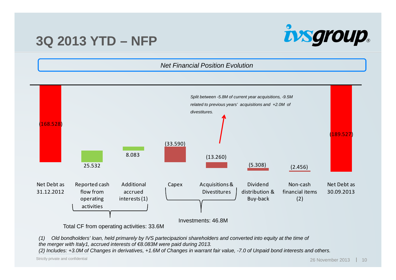#### **3Q 2013 YTD – NFP**



Net Financial Position Evolution



(1) Old bondholders' loan, held primarely by IVS partecipazioni shareholders and converted into equity at the time of the merger with Italy1, accrued interests of €8.083M were paid during 2013.

(2) Includes: +3.0M of Changes in derivatives, +1.6M of Changes in warrant fair value, -7.0 of Unpaid bond interests and others.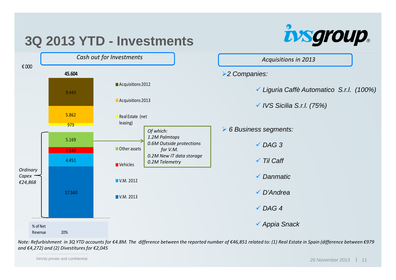

*Note: Refurbishment in 3Q YTD accounts for €4.8M. The difference between the reported number of €46,851 related to: (1) Real Estate in Spain (difference between €979 and €4,272) and (2) Divestitures for €2,045*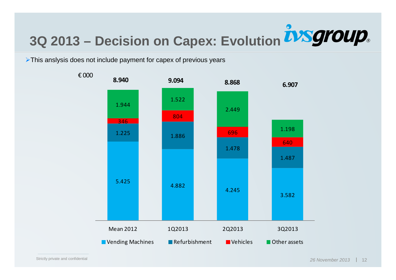## **3Q 2013 – Decision on Capex: Evolution**

 $\triangleright$ This anslysis does not include payment for capex of previous years